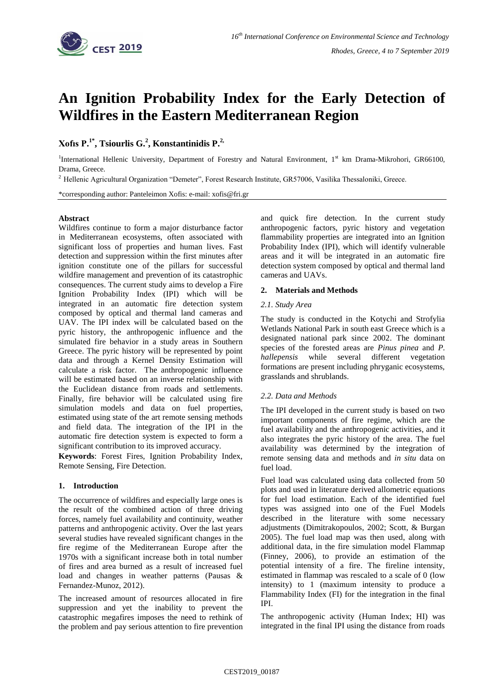

# **An Ignition Probability Index for the Early Detection of Wildfires in the Eastern Mediterranean Region**

# **Xofıs P. 1\* , Tsiourlis G. 2 , Konstantinidis P. 2,**

<sup>1</sup>International Hellenic University, Department of Forestry and Natural Environment, 1<sup>st</sup> km Drama-Mikrohori, GR66100, Drama, Greece.

<sup>2</sup> Hellenic Agricultural Organization "Demeter", Forest Research Institute, GR57006, Vasilika Thessaloniki, Greece.

\*corresponding author: Panteleimon Xofis: e-mail: xofis@fri.gr

## **Abstract**

Wildfires continue to form a major disturbance factor in Mediterranean ecosystems, often associated with significant loss of properties and human lives. Fast detection and suppression within the first minutes after ignition constitute one of the pillars for successful wildfire management and prevention of its catastrophic consequences. The current study aims to develop a Fire Ignition Probability Index (IPI) which will be integrated in an automatic fire detection system composed by optical and thermal land cameras and UAV. The IPI index will be calculated based on the pyric history, the anthropogenic influence and the simulated fire behavior in a study areas in Southern Greece. The pyric history will be represented by point data and through a Kernel Density Estimation will calculate a risk factor. The anthropogenic influence will be estimated based on an inverse relationship with the Euclidean distance from roads and settlements. Finally, fire behavior will be calculated using fire simulation models and data on fuel properties, estimated using state of the art remote sensing methods and field data. The integration of the IPI in the automatic fire detection system is expected to form a significant contribution to its improved accuracy.

**Keywords**: Forest Fires, Ignition Probability Index, Remote Sensing, Fire Detection.

#### **1. Introduction**

The occurrence of wildfires and especially large ones is the result of the combined action of three driving forces, namely fuel availability and continuity, weather patterns and anthropogenic activity. Over the last years several studies have revealed significant changes in the fire regime of the Mediterranean Europe after the 1970s with a significant increase both in total number of fires and area burned as a result of increased fuel load and changes in weather patterns (Pausas & Fernandez-Munoz, 2012).

The increased amount of resources allocated in fire suppression and yet the inability to prevent the catastrophic megafires imposes the need to rethink of the problem and pay serious attention to fire prevention and quick fire detection. In the current study anthropogenic factors, pyric history and vegetation flammability properties are integrated into an Ignition Probability Index (IPI), which will identify vulnerable areas and it will be integrated in an automatic fire detection system composed by optical and thermal land cameras and UAVs.

## **2. Materials and Methods**

#### *2.1. Study Area*

The study is conducted in the Kotychi and Strofylia Wetlands National Park in south east Greece which is a designated national park since 2002. The dominant species of the forested areas are *Pinus pinea* and *P. hallepensis* while several different vegetation formations are present including phryganic ecosystems, grasslands and shrublands.

#### *2.2. Data and Methods*

The IPI developed in the current study is based on two important components of fire regime, which are the fuel availability and the anthropogenic activities, and it also integrates the pyric history of the area. The fuel availability was determined by the integration of remote sensing data and methods and *in situ* data on fuel load.

Fuel load was calculated using data collected from 50 plots and used in literature derived allometric equations for fuel load estimation. Each of the identified fuel types was assigned into one of the Fuel Models described in the literature with some necessary adjustments (Dimitrakopoulos, 2002; Scott, & Burgan 2005). The fuel load map was then used, along with additional data, in the fire simulation model Flammap (Finney, 2006), to provide an estimation of the potential intensity of a fire. The fireline intensity, estimated in flammap was rescaled to a scale of 0 (low intensity) to 1 (maximum intensity to produce a Flammability Index (FI) for the integration in the final IPI.

The anthropogenic activity (Human Index; HI) was integrated in the final IPI using the distance from roads